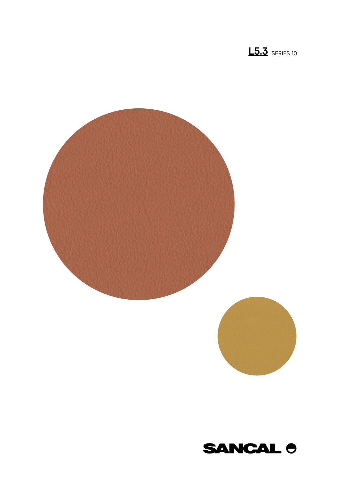



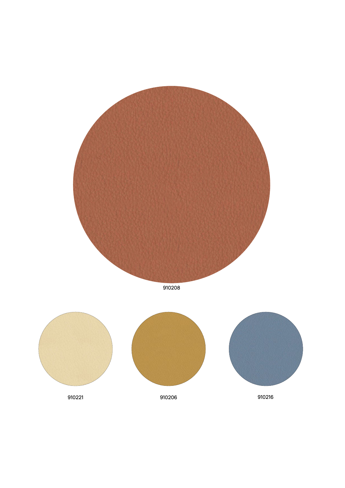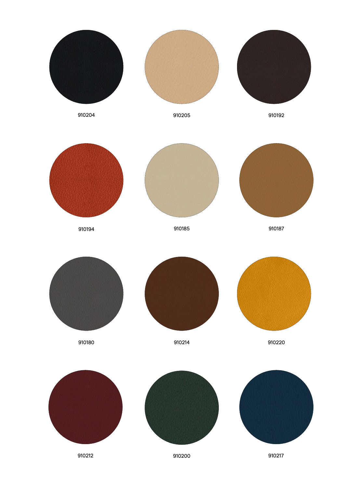